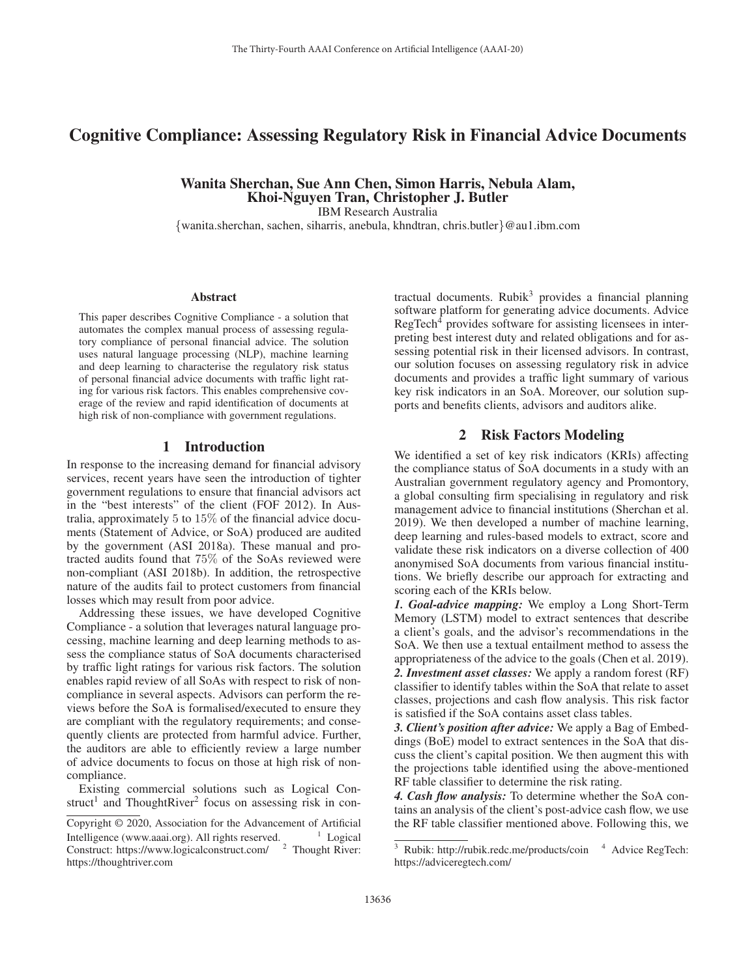# Cognitive Compliance: Assessing Regulatory Risk in Financial Advice Documents

Wanita Sherchan, Sue Ann Chen, Simon Harris, Nebula Alam, Khoi-Nguyen Tran, Christopher J. Butler IBM Research Australia

{wanita.sherchan, sachen, siharris, anebula, khndtran, chris.butler}@au1.ibm.com

#### Abstract

This paper describes Cognitive Compliance - a solution that automates the complex manual process of assessing regulatory compliance of personal financial advice. The solution uses natural language processing (NLP), machine learning and deep learning to characterise the regulatory risk status of personal financial advice documents with traffic light rating for various risk factors. This enables comprehensive coverage of the review and rapid identification of documents at high risk of non-compliance with government regulations.

#### 1 Introduction

In response to the increasing demand for financial advisory services, recent years have seen the introduction of tighter government regulations to ensure that financial advisors act in the "best interests" of the client (FOF 2012). In Australia, approximately 5 to 15% of the financial advice documents (Statement of Advice, or SoA) produced are audited by the government (ASI 2018a). These manual and protracted audits found that 75% of the SoAs reviewed were non-compliant (ASI 2018b). In addition, the retrospective nature of the audits fail to protect customers from financial losses which may result from poor advice.

Addressing these issues, we have developed Cognitive Compliance - a solution that leverages natural language processing, machine learning and deep learning methods to assess the compliance status of SoA documents characterised by traffic light ratings for various risk factors. The solution enables rapid review of all SoAs with respect to risk of noncompliance in several aspects. Advisors can perform the reviews before the SoA is formalised/executed to ensure they are compliant with the regulatory requirements; and consequently clients are protected from harmful advice. Further, the auditors are able to efficiently review a large number of advice documents to focus on those at high risk of noncompliance.

Existing commercial solutions such as Logical Construct<sup>1</sup> and ThoughtRiver<sup>2</sup> focus on assessing risk in con-

tractual documents. Rubik $3$  provides a financial planning software platform for generating advice documents. Advice RegTech<sup>4</sup> provides software for assisting licensees in interpreting best interest duty and related obligations and for assessing potential risk in their licensed advisors. In contrast, our solution focuses on assessing regulatory risk in advice documents and provides a traffic light summary of various key risk indicators in an SoA. Moreover, our solution supports and benefits clients, advisors and auditors alike.

# 2 Risk Factors Modeling

We identified a set of key risk indicators (KRIs) affecting the compliance status of SoA documents in a study with an Australian government regulatory agency and Promontory, a global consulting firm specialising in regulatory and risk management advice to financial institutions (Sherchan et al. 2019). We then developed a number of machine learning, deep learning and rules-based models to extract, score and validate these risk indicators on a diverse collection of 400 anonymised SoA documents from various financial institutions. We briefly describe our approach for extracting and scoring each of the KRIs below.

*1. Goal-advice mapping:* We employ a Long Short-Term Memory (LSTM) model to extract sentences that describe a client's goals, and the advisor's recommendations in the SoA. We then use a textual entailment method to assess the appropriateness of the advice to the goals (Chen et al. 2019). *2. Investment asset classes:* We apply a random forest (RF)

classifier to identify tables within the SoA that relate to asset classes, projections and cash flow analysis. This risk factor is satisfied if the SoA contains asset class tables.

*3. Client's position after advice:* We apply a Bag of Embeddings (BoE) model to extract sentences in the SoA that discuss the client's capital position. We then augment this with the projections table identified using the above-mentioned RF table classifier to determine the risk rating.

*4. Cash flow analysis:* To determine whether the SoA contains an analysis of the client's post-advice cash flow, we use the RF table classifier mentioned above. Following this, we

Copyright © 2020, Association for the Advancement of Artificial Intelligence (www.aaai.org). All rights reserved.  $1$  Logical Construct: https://www.logicalconstruct.com/ <sup>2</sup> Thought River: https://thoughtriver.com

 $3$  Rubik: http://rubik.redc.me/products/coin  $4$  Advice RegTech: https://adviceregtech.com/